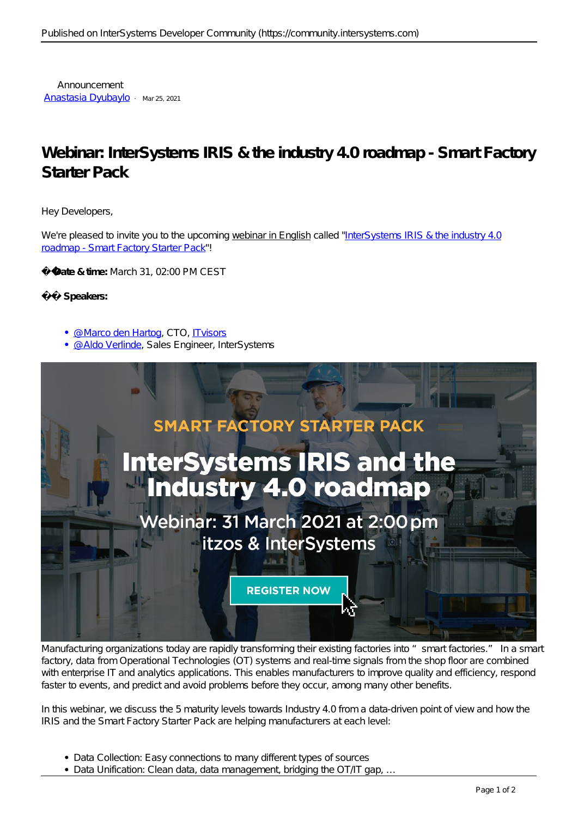Announcement [Anastasia Dyubaylo](https://community.intersystems.com/user/anastasia-dyubaylo) · Mar 25, 2021

## **Webinar: InterSystems IRIS & the industry 4.0 roadmap - Smart Factory Starter Pack**

Hey Developers,

We're pleased to invite you to the upcoming webinar in English called ["InterSystems IRIS & the industry 4.0](https://bit.ly/3qASyvy)" [roadmap - Smart Factory Starter Pack](https://bit.ly/3qASyvy)"!

**Date & time:** March 31, 02:00 PM CEST

## **Speakers:**

- · @ Marco den Hartog, CTO, [ITvisors](https://itvisors.nl)
- · @ Aldo Verlinde, Sales Engineer, InterSystems



Manufacturing organizations today are rapidly transforming their existing factories into "smart factories." In a smart factory, data from Operational Technologies (OT) systems and real-time signals from the shop floor are combined with enterprise IT and analytics applications. This enables manufacturers to improve quality and efficiency, respond faster to events, and predict and avoid problems before they occur, among many other benefits.

In this webinar, we discuss the 5 maturity levels towards Industry 4.0 from a data-driven point of view and how the IRIS and the Smart Factory Starter Pack are helping manufacturers at each level:

- *Data Collection*: Easy connections to many different types of sources
- *Data Unification*: Clean data, data management, bridging the OT/IT gap